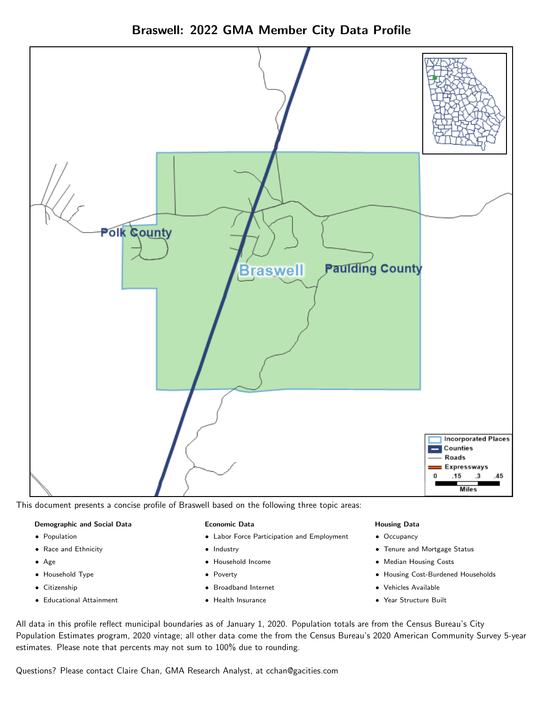



This document presents a concise profile of Braswell based on the following three topic areas:

#### Demographic and Social Data

- **•** Population
- Race and Ethnicity
- Age
- Household Type
- **Citizenship**
- Educational Attainment

#### Economic Data

- Labor Force Participation and Employment
- Industry
- Household Income
- Poverty
- Broadband Internet
- Health Insurance

#### Housing Data

- Occupancy
- Tenure and Mortgage Status
- Median Housing Costs
- Housing Cost-Burdened Households
- Vehicles Available
- Year Structure Built

All data in this profile reflect municipal boundaries as of January 1, 2020. Population totals are from the Census Bureau's City Population Estimates program, 2020 vintage; all other data come the from the Census Bureau's 2020 American Community Survey 5-year estimates. Please note that percents may not sum to 100% due to rounding.

Questions? Please contact Claire Chan, GMA Research Analyst, at [cchan@gacities.com.](mailto:cchan@gacities.com)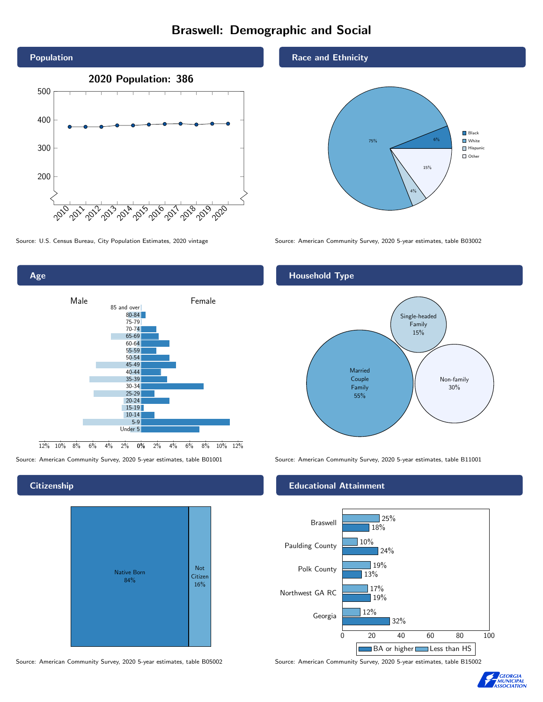# Braswell: Demographic and Social





**Citizenship** 



Source: American Community Survey, 2020 5-year estimates, table B05002 Source: American Community Survey, 2020 5-year estimates, table B15002

Race and Ethnicity



Source: U.S. Census Bureau, City Population Estimates, 2020 vintage Source: American Community Survey, 2020 5-year estimates, table B03002

## Household Type



Source: American Community Survey, 2020 5-year estimates, table B01001 Source: American Community Survey, 2020 5-year estimates, table B11001

#### Educational Attainment



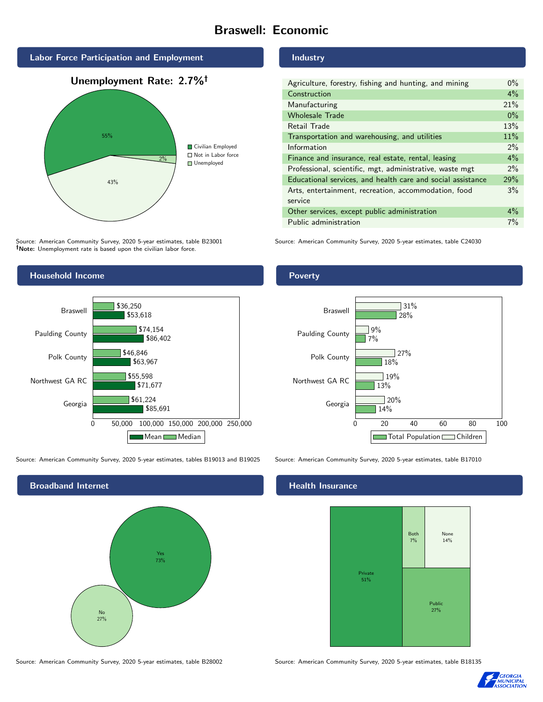# Braswell: Economic



Source: American Community Survey, 2020 5-year estimates, table B23001 Note: Unemployment rate is based upon the civilian labor force.

# Household Income



Source: American Community Survey, 2020 5-year estimates, tables B19013 and B19025 Source: American Community Survey, 2020 5-year estimates, table B17010



Source: American Community Survey, 2020 5-year estimates, table B28002 Source: American Community Survey, 2020 5-year estimates, table B18135

#### Industry

| Agriculture, forestry, fishing and hunting, and mining      | $0\%$ |
|-------------------------------------------------------------|-------|
| Construction                                                | $4\%$ |
| Manufacturing                                               | 21%   |
| <b>Wholesale Trade</b>                                      | $0\%$ |
| Retail Trade                                                | 13%   |
| Transportation and warehousing, and utilities               | 11%   |
| Information                                                 | $2\%$ |
| Finance and insurance, real estate, rental, leasing         | 4%    |
| Professional, scientific, mgt, administrative, waste mgt    | $2\%$ |
| Educational services, and health care and social assistance | 29%   |
| Arts, entertainment, recreation, accommodation, food        | 3%    |
| service                                                     |       |
| Other services, except public administration                | $4\%$ |
| Public administration                                       | 7%    |

Source: American Community Survey, 2020 5-year estimates, table C24030

## Poverty



### Health Insurance